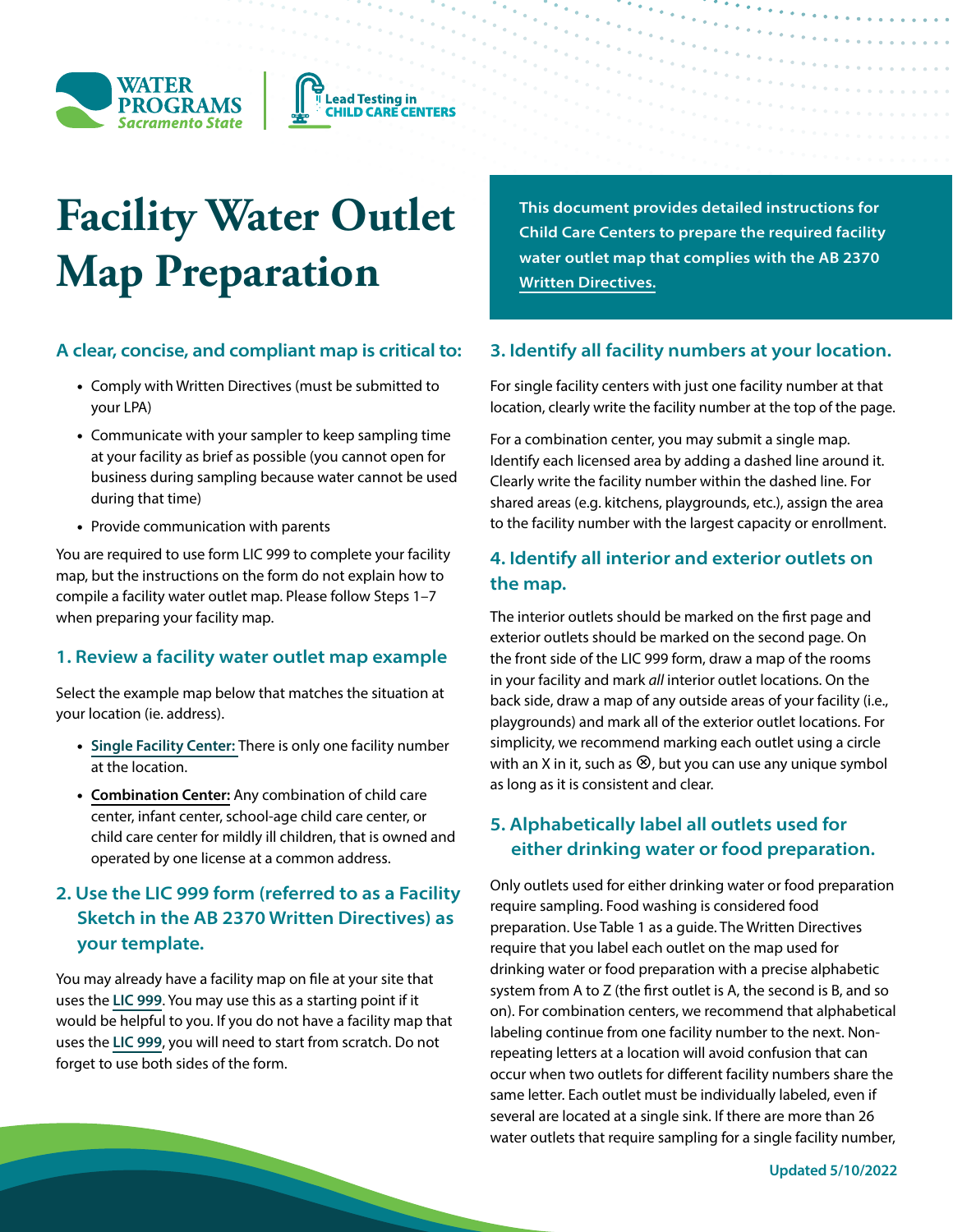



# **Facility Water Outlet Map Preparation**

# **A clear, concise, and compliant map is critical to:**

- Comply with Written Directives (must be submitted to your LPA)
- Communicate with your sampler to keep sampling time at your facility as brief as possible (you cannot open for business during sampling because water cannot be used during that time)
- Provide communication with parents

You are required to use form LIC 999 to complete your facility map, but the instructions on the form do not explain how to compile a facility water outlet map. Please follow Steps 1–7 when preparing your facility map.

#### **1. Review a facility water outlet map example**

Select the example map below that matches the situation at your location (ie. address).

- **[Single Facility Center:](https://ab2370assistance.owp.csus.edu/resources/download.php?file_name=Facility%20Water%20Outlet%20Map%20Example%202)** There is only one facility number at the location.
- **Combination Center:** Any combination of child care center, infant center, school-age child care center, or child care center for mildly ill children, that is owned and operated by one license at a common address.

# **2. Use the LIC 999 form (referred to as a Facility Sketch in the AB 2370 Written Directives) as your template.**

You may already have a facility map on file at your site that uses the **[LIC 999](https://ab2370assistance.owp.csus.edu/resources/download.php?file_name=CDSSFacilityMap.pdf)**. You may use this as a starting point if it would be helpful to you. If you do not have a facility map that uses the **[LIC 999](https://ab2370assistance.owp.csus.edu/resources/download.php?file_name=CDSSFacilityMap.pdf)**, you will need to start from scratch. Do not forget to use both sides of the form.

**This document provides detailed instructions for Child Care Centers to prepare the required facility water outlet map that complies with the AB 2370 [Written Directives.](https://www.cdss.ca.gov/Portals/9/CCLD/PINs/2021/CCP/PIN-21-21-CCP.pdf)**

#### **3. Identify all facility numbers at your location.**

For single facility centers with just one facility number at that location, clearly write the facility number at the top of the page.

For a combination center, you may submit a single map. Identify each licensed area by adding a dashed line around it. Clearly write the facility number within the dashed line. For shared areas (e.g. kitchens, playgrounds, etc.), assign the area to the facility number with the largest capacity or enrollment.

# **4. Identify all interior and exterior outlets on the map.**

The interior outlets should be marked on the first page and exterior outlets should be marked on the second page. On the front side of the LIC 999 form, draw a map of the rooms in your facility and mark *all* interior outlet locations. On the back side, draw a map of any outside areas of your facility (i.e., playgrounds) and mark all of the exterior outlet locations. For simplicity, we recommend marking each outlet using a circle with an X in it, such as  $\otimes$ , but you can use any unique symbol as long as it is consistent and clear.

# **5. Alphabetically label all outlets used for either drinking water or food preparation.**

Only outlets used for either drinking water or food preparation require sampling. Food washing is considered food preparation. Use Table 1 as a guide. The Written Directives require that you label each outlet on the map used for drinking water or food preparation with a precise alphabetic system from A to Z (the first outlet is A, the second is B, and so on). For combination centers, we recommend that alphabetical labeling continue from one facility number to the next. Nonrepeating letters at a location will avoid confusion that can occur when two outlets for different facility numbers share the same letter. Each outlet must be individually labeled, even if several are located at a single sink. If there are more than 26 water outlets that require sampling for a single facility number,